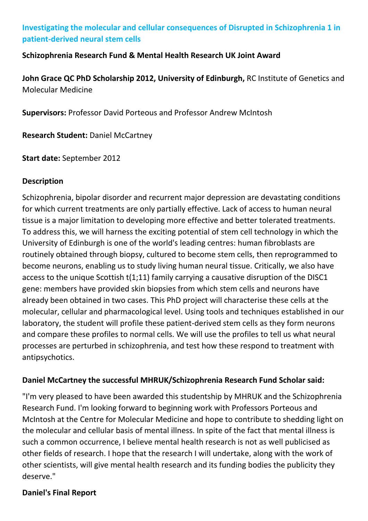# **Investigating the molecular and cellular consequences of Disrupted in Schizophrenia 1 in patient-derived neural stem cells**

#### **Schizophrenia Research Fund & Mental Health Research UK Joint Award**

**John Grace QC PhD Scholarship 2012, University of Edinburgh,** RC Institute of Genetics and Molecular Medicine

**Supervisors:** Professor David Porteous and Professor Andrew McIntosh

**Research Student:** Daniel McCartney

**Start date:** September 2012

#### **Description**

Schizophrenia, bipolar disorder and recurrent major depression are devastating conditions for which current treatments are only partially effective. Lack of access to human neural tissue is a major limitation to developing more effective and better tolerated treatments. To address this, we will harness the exciting potential of stem cell technology in which the University of Edinburgh is one of the world's leading centres: human fibroblasts are routinely obtained through biopsy, cultured to become stem cells, then reprogrammed to become neurons, enabling us to study living human neural tissue. Critically, we also have access to the unique Scottish t(1;11) family carrying a causative disruption of the DISC1 gene: members have provided skin biopsies from which stem cells and neurons have already been obtained in two cases. This PhD project will characterise these cells at the molecular, cellular and pharmacological level. Using tools and techniques established in our laboratory, the student will profile these patient-derived stem cells as they form neurons and compare these profiles to normal cells. We will use the profiles to tell us what neural processes are perturbed in schizophrenia, and test how these respond to treatment with antipsychotics.

## **Daniel McCartney the successful MHRUK/Schizophrenia Research Fund Scholar said:**

"I'm very pleased to have been awarded this studentship by MHRUK and the Schizophrenia Research Fund. I'm looking forward to beginning work with Professors Porteous and McIntosh at the Centre for Molecular Medicine and hope to contribute to shedding light on the molecular and cellular basis of mental illness. In spite of the fact that mental illness is such a common occurrence, I believe mental health research is not as well publicised as other fields of research. I hope that the research I will undertake, along with the work of other scientists, will give mental health research and its funding bodies the publicity they deserve."

## **Daniel's Final Report**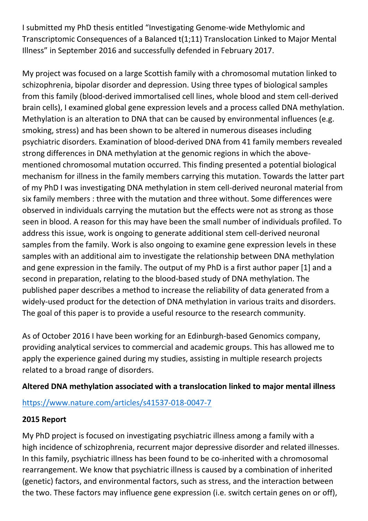I submitted my PhD thesis entitled "Investigating Genome-wide Methylomic and Transcriptomic Consequences of a Balanced t(1;11) Translocation Linked to Major Mental Illness" in September 2016 and successfully defended in February 2017.

My project was focused on a large Scottish family with a chromosomal mutation linked to schizophrenia, bipolar disorder and depression. Using three types of biological samples from this family (blood-derived immortalised cell lines, whole blood and stem cell-derived brain cells), I examined global gene expression levels and a process called DNA methylation. Methylation is an alteration to DNA that can be caused by environmental influences (e.g. smoking, stress) and has been shown to be altered in numerous diseases including psychiatric disorders. Examination of blood-derived DNA from 41 family members revealed strong differences in DNA methylation at the genomic regions in which the abovementioned chromosomal mutation occurred. This finding presented a potential biological mechanism for illness in the family members carrying this mutation. Towards the latter part of my PhD I was investigating DNA methylation in stem cell-derived neuronal material from six family members : three with the mutation and three without. Some differences were observed in individuals carrying the mutation but the effects were not as strong as those seen in blood. A reason for this may have been the small number of individuals profiled. To address this issue, work is ongoing to generate additional stem cell-derived neuronal samples from the family. Work is also ongoing to examine gene expression levels in these samples with an additional aim to investigate the relationship between DNA methylation and gene expression in the family. The output of my PhD is a first author paper [1] and a second in preparation, relating to the blood-based study of DNA methylation. The published paper describes a method to increase the reliability of data generated from a widely-used product for the detection of DNA methylation in various traits and disorders. The goal of this paper is to provide a useful resource to the research community.

As of October 2016 I have been working for an Edinburgh-based Genomics company, providing analytical services to commercial and academic groups. This has allowed me to apply the experience gained during my studies, assisting in multiple research projects related to a broad range of disorders.

## **Altered DNA methylation associated with a translocation linked to major mental illness**

## <https://www.nature.com/articles/s41537-018-0047-7>

## **2015 Report**

My PhD project is focused on investigating psychiatric illness among a family with a high incidence of schizophrenia, recurrent major depressive disorder and related illnesses. In this family, psychiatric illness has been found to be co-inherited with a chromosomal rearrangement. We know that psychiatric illness is caused by a combination of inherited (genetic) factors, and environmental factors, such as stress, and the interaction between the two. These factors may influence gene expression (i.e. switch certain genes on or off),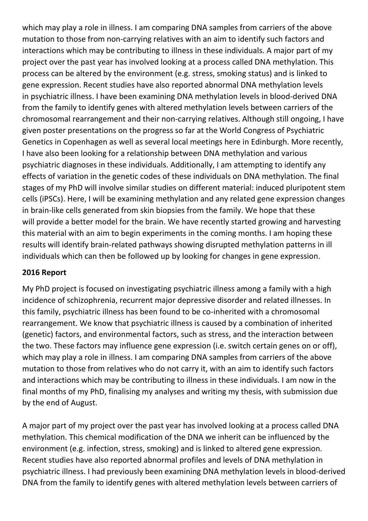which may play a role in illness. I am comparing DNA samples from carriers of the above mutation to those from non-carrying relatives with an aim to identify such factors and interactions which may be contributing to illness in these individuals. A major part of my project over the past year has involved looking at a process called DNA methylation. This process can be altered by the environment (e.g. stress, smoking status) and is linked to gene expression. Recent studies have also reported abnormal DNA methylation levels in psychiatric illness. I have been examining DNA methylation levels in blood-derived DNA from the family to identify genes with altered methylation levels between carriers of the chromosomal rearrangement and their non-carrying relatives. Although still ongoing, I have given poster presentations on the progress so far at the World Congress of Psychiatric Genetics in Copenhagen as well as several local meetings here in Edinburgh. More recently, I have also been looking for a relationship between DNA methylation and various psychiatric diagnoses in these individuals. Additionally, I am attempting to identify any effects of variation in the genetic codes of these individuals on DNA methylation. The final stages of my PhD will involve similar studies on different material: induced pluripotent stem cells (iPSCs). Here, I will be examining methylation and any related gene expression changes in brain-like cells generated from skin biopsies from the family. We hope that these will provide a better model for the brain. We have recently started growing and harvesting this material with an aim to begin experiments in the coming months. I am hoping these results will identify brain-related pathways showing disrupted methylation patterns in ill individuals which can then be followed up by looking for changes in gene expression.

## **2016 Report**

My PhD project is focused on investigating psychiatric illness among a family with a high incidence of schizophrenia, recurrent major depressive disorder and related illnesses. In this family, psychiatric illness has been found to be co-inherited with a chromosomal rearrangement. We know that psychiatric illness is caused by a combination of inherited (genetic) factors, and environmental factors, such as stress, and the interaction between the two. These factors may influence gene expression (i.e. switch certain genes on or off), which may play a role in illness. I am comparing DNA samples from carriers of the above mutation to those from relatives who do not carry it, with an aim to identify such factors and interactions which may be contributing to illness in these individuals. I am now in the final months of my PhD, finalising my analyses and writing my thesis, with submission due by the end of August.

A major part of my project over the past year has involved looking at a process called DNA methylation. This chemical modification of the DNA we inherit can be influenced by the environment (e.g. infection, stress, smoking) and is linked to altered gene expression. Recent studies have also reported abnormal profiles and levels of DNA methylation in psychiatric illness. I had previously been examining DNA methylation levels in blood-derived DNA from the family to identify genes with altered methylation levels between carriers of